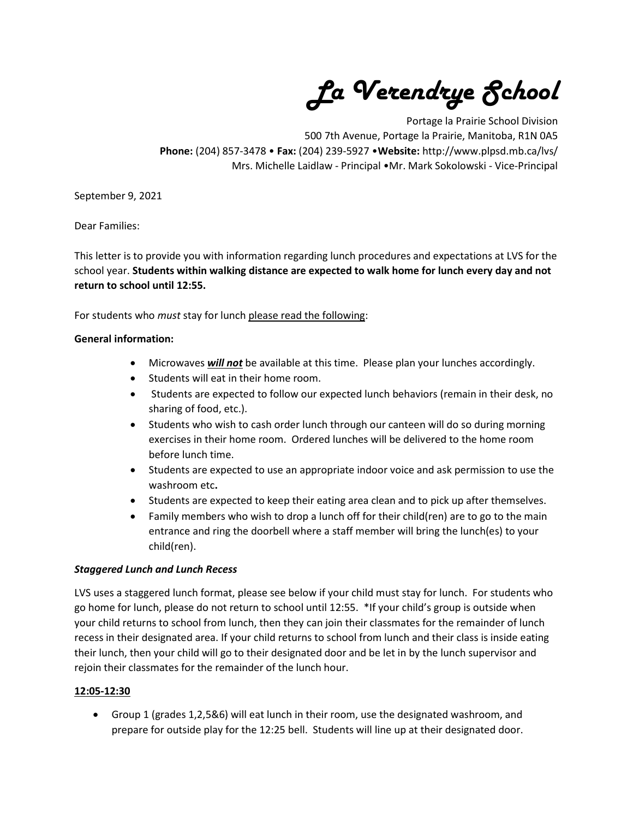La Verendrye School

Portage la Prairie School Division 500 7th Avenue, Portage la Prairie, Manitoba, R1N 0A5 Phone: (204) 857-3478 • Fax: (204) 239-5927 •Website: http://www.plpsd.mb.ca/lvs/ Mrs. Michelle Laidlaw - Principal •Mr. Mark Sokolowski - Vice-Principal

September 9, 2021

Dear Families:

This letter is to provide you with information regarding lunch procedures and expectations at LVS for the school year. Students within walking distance are expected to walk home for lunch every day and not return to school until 12:55.

For students who must stay for lunch please read the following:

# General information:

- Microwaves **will not** be available at this time. Please plan your lunches accordingly.
- Students will eat in their home room.
- Students are expected to follow our expected lunch behaviors (remain in their desk, no sharing of food, etc.).
- Students who wish to cash order lunch through our canteen will do so during morning exercises in their home room. Ordered lunches will be delivered to the home room before lunch time.
- Students are expected to use an appropriate indoor voice and ask permission to use the washroom etc.
- Students are expected to keep their eating area clean and to pick up after themselves.
- Family members who wish to drop a lunch off for their child(ren) are to go to the main entrance and ring the doorbell where a staff member will bring the lunch(es) to your child(ren).

### Staggered Lunch and Lunch Recess

LVS uses a staggered lunch format, please see below if your child must stay for lunch. For students who go home for lunch, please do not return to school until 12:55. \*If your child's group is outside when your child returns to school from lunch, then they can join their classmates for the remainder of lunch recess in their designated area. If your child returns to school from lunch and their class is inside eating their lunch, then your child will go to their designated door and be let in by the lunch supervisor and rejoin their classmates for the remainder of the lunch hour.

### 12:05-12:30

 Group 1 (grades 1,2,5&6) will eat lunch in their room, use the designated washroom, and prepare for outside play for the 12:25 bell. Students will line up at their designated door.